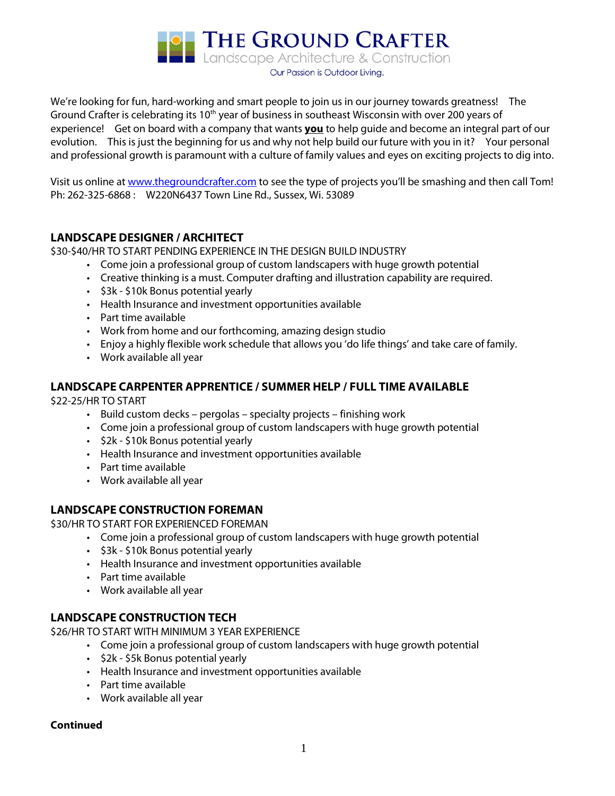**DE THE GROUND CRAFTER**<br>**Landscape Architecture & Construction** 

Our Passion is Outdoor Living.

We're looking for fun, hard-working and smart people to join us in our journey towards greatness! The Ground Crafter is celebrating its 10<sup>th</sup> year of business in southeast Wisconsin with over 200 years of experience! Get on board with a company that wants **you** to help guide and become an integral part of our evolution. This is just the beginning for us and why not help build our future with you in it? Your personal and professional growth is paramount with a culture of family values and eyes on exciting projects to dig into.

Visit us online a[t www.thegroundcrafter.com](http://www.thegroundcrafter.com/) to see the type of projects you'll be smashing and then call Tom! Ph: 262-325-6868 : W220N6437 Town Line Rd., Sussex, Wi. 53089

## **LANDSCAPE DESIGNER / ARCHITECT**

\$30-\$40/HR TO START PENDING EXPERIENCE IN THE DESIGN BUILD INDUSTRY

- Come join a professional group of custom landscapers with huge growth potential
- Creative thinking is a must. Computer drafting and illustration capability are required.
- \$3k \$10k Bonus potential yearly
- Health Insurance and investment opportunities available
- Part time available
- Work from home and our forthcoming, amazing design studio
- Enjoy a highly flexible work schedule that allows you 'do life things' and take care of family.
- Work available all year

## **LANDSCAPE CARPENTER APPRENTICE / SUMMER HELP / FULL TIME AVAILABLE**

\$22-25/HR TO START

- Build custom decks pergolas specialty projects finishing work
- Come join a professional group of custom landscapers with huge growth potential
- \$2k \$10k Bonus potential yearly
- Health Insurance and investment opportunities available
- Part time available
- Work available all year

# **LANDSCAPE CONSTRUCTION FOREMAN**

\$30/HR TO START FOR EXPERIENCED FOREMAN

- Come join a professional group of custom landscapers with huge growth potential
- \$3k \$10k Bonus potential yearly
- Health Insurance and investment opportunities available
- Part time available
- Work available all year

## **LANDSCAPE CONSTRUCTION TECH**

\$26/HR TO START WITH MINIMUM 3 YEAR EXPERIENCE

- Come join a professional group of custom landscapers with huge growth potential
- \$2k \$5k Bonus potential yearly
- Health Insurance and investment opportunities available
- Part time available
- Work available all year

#### **Continued**